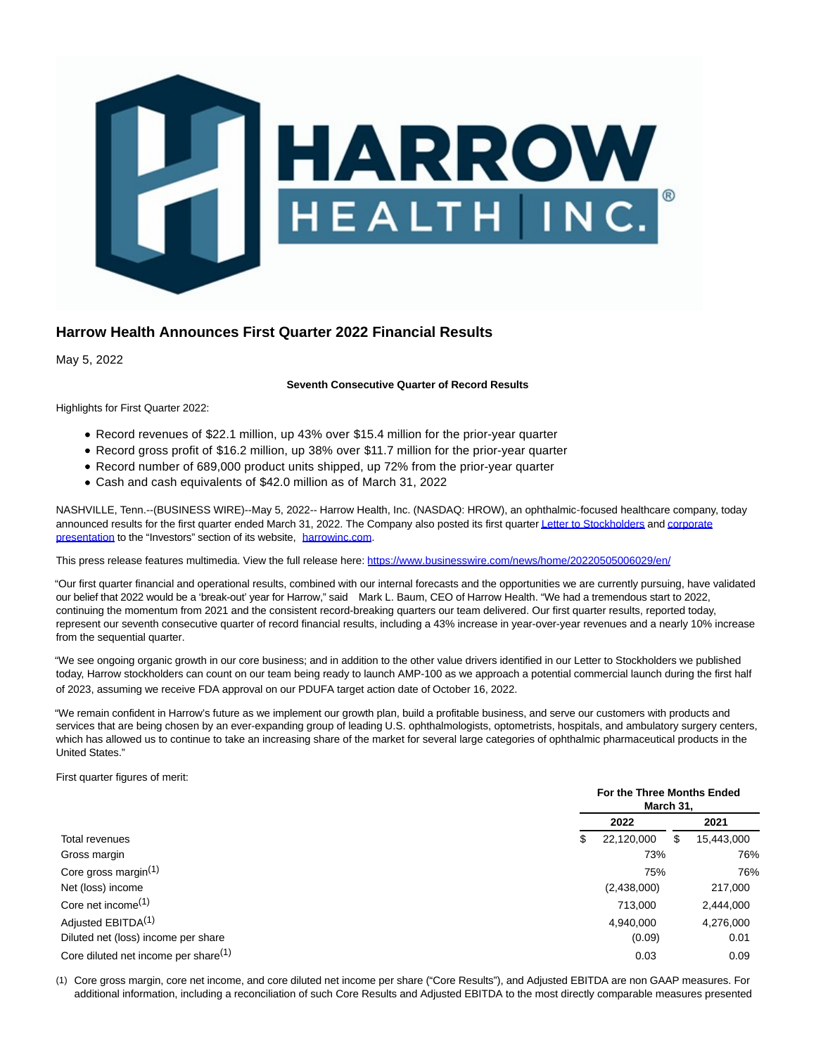

# **Harrow Health Announces First Quarter 2022 Financial Results**

May 5, 2022

## **Seventh Consecutive Quarter of Record Results**

Highlights for First Quarter 2022:

- Record revenues of \$22.1 million, up 43% over \$15.4 million for the prior-year quarter
- Record gross profit of \$16.2 million, up 38% over \$11.7 million for the prior-year quarter
- Record number of 689,000 product units shipped, up 72% from the prior-year quarter
- Cash and cash equivalents of \$42.0 million as of March 31, 2022

NASHVILLE, Tenn.--(BUSINESS WIRE)--May 5, 2022-- Harrow Health, Inc. (NASDAQ: HROW), an ophthalmic‑focused healthcare company, today announced results for the first quarter ended March 31, 2022. The Company also posted its first quarte[r Letter to Stockholders a](https://cts.businesswire.com/ct/CT?id=smartlink&url=https%3A%2F%2Finvestors.harrowinc.com%2F&esheet=52710065&newsitemid=20220505006029&lan=en-US&anchor=Letter+to+Stockholders&index=1&md5=543eacfa97ad9b468f8ea4978e7e2401)n[d corporate](https://cts.businesswire.com/ct/CT?id=smartlink&url=https%3A%2F%2Finvestors.harrowinc.com%2F&esheet=52710065&newsitemid=20220505006029&lan=en-US&anchor=corporate+presentation&index=2&md5=474bb42df2338e72466b4b068016a437) presentation to the "Investors" section of its website, [harrowinc.com.](https://cts.businesswire.com/ct/CT?id=smartlink&url=http%3A%2F%2Fwww.harrowinc.com%2F&esheet=52710065&newsitemid=20220505006029&lan=en-US&anchor=harrowinc.com&index=3&md5=eb1903f4545163291d93272b1a5f90ac)

This press release features multimedia. View the full release here:<https://www.businesswire.com/news/home/20220505006029/en/>

"Our first quarter financial and operational results, combined with our internal forecasts and the opportunities we are currently pursuing, have validated our belief that 2022 would be a 'break-out' year for Harrow," said Mark L. Baum, CEO of Harrow Health. "We had a tremendous start to 2022, continuing the momentum from 2021 and the consistent record-breaking quarters our team delivered. Our first quarter results, reported today, represent our seventh consecutive quarter of record financial results, including a 43% increase in year-over-year revenues and a nearly 10% increase from the sequential quarter.

"We see ongoing organic growth in our core business; and in addition to the other value drivers identified in our Letter to Stockholders we published today, Harrow stockholders can count on our team being ready to launch AMP-100 as we approach a potential commercial launch during the first half of 2023, assuming we receive FDA approval on our PDUFA target action date of October 16, 2022.

"We remain confident in Harrow's future as we implement our growth plan, build a profitable business, and serve our customers with products and services that are being chosen by an ever-expanding group of leading U.S. ophthalmologists, optometrists, hospitals, and ambulatory surgery centers, which has allowed us to continue to take an increasing share of the market for several large categories of ophthalmic pharmaceutical products in the United States."

First quarter figures of merit:

|                                                  | For the Three Months Ended<br>March 31, |            |  |  |
|--------------------------------------------------|-----------------------------------------|------------|--|--|
|                                                  | 2022                                    | 2021       |  |  |
| Total revenues                                   | \$<br>22,120,000<br>S                   | 15,443,000 |  |  |
| Gross margin                                     | 73%                                     | 76%        |  |  |
| Core gross margin $(1)$                          | 75%                                     | 76%        |  |  |
| Net (loss) income                                | (2,438,000)                             | 217,000    |  |  |
| Core net income $(1)$                            | 713,000                                 | 2,444,000  |  |  |
| Adjusted EBITDA <sup>(1)</sup>                   | 4,940,000                               | 4,276,000  |  |  |
| Diluted net (loss) income per share              | (0.09)                                  | 0.01       |  |  |
| Core diluted net income per share <sup>(1)</sup> | 0.03                                    | 0.09       |  |  |

(1) Core gross margin, core net income, and core diluted net income per share ("Core Results"), and Adjusted EBITDA are non GAAP measures. For additional information, including a reconciliation of such Core Results and Adjusted EBITDA to the most directly comparable measures presented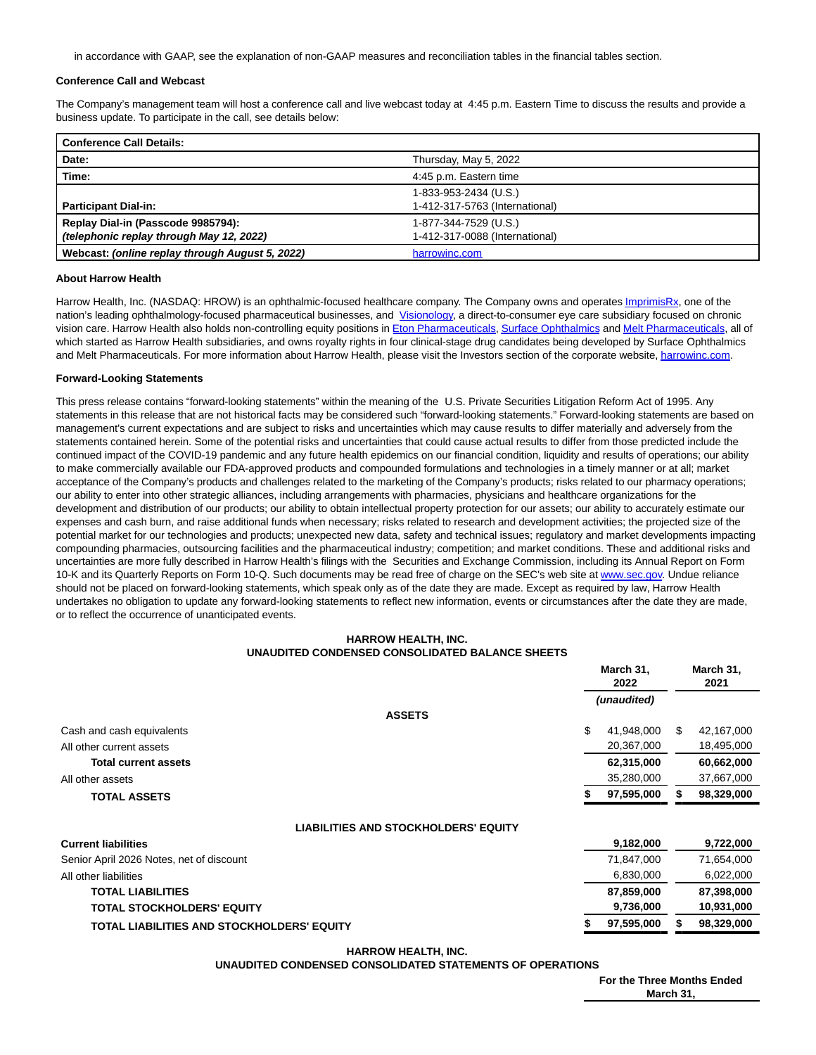in accordance with GAAP, see the explanation of non-GAAP measures and reconciliation tables in the financial tables section.

#### **Conference Call and Webcast**

The Company's management team will host a conference call and live webcast today at 4:45 p.m. Eastern Time to discuss the results and provide a business update. To participate in the call, see details below:

| <b>Conference Call Details:</b>                 |                                |
|-------------------------------------------------|--------------------------------|
| Date:                                           | Thursday, May 5, 2022          |
| Time:                                           | 4:45 p.m. Eastern time         |
|                                                 | 1-833-953-2434 (U.S.)          |
| <b>Participant Dial-in:</b>                     | 1-412-317-5763 (International) |
| Replay Dial-in (Passcode 9985794):              | 1-877-344-7529 (U.S.)          |
| (telephonic replay through May 12, 2022)        | 1-412-317-0088 (International) |
| Webcast: (online replay through August 5, 2022) | harrowinc.com                  |

### **About Harrow Health**

Harrow Health, Inc. (NASDAQ: HROW) is an ophthalmic-focused healthcare company. The Company owns and operates *ImprimisRx*, one of the nation's leading ophthalmology-focused pharmaceutical businesses, and [Visionology,](https://cts.businesswire.com/ct/CT?id=smartlink&url=http%3A%2F%2Fwww.visionology.com%2F&esheet=52710065&newsitemid=20220505006029&lan=en-US&anchor=Visionology&index=6&md5=2f8f0cc0621f882a231f78f4abfc11be) a direct-to-consumer eye care subsidiary focused on chronic vision care. Harrow Health also holds non-controlling equity positions in [Eton Pharmaceuticals,](https://cts.businesswire.com/ct/CT?id=smartlink&url=http%3A%2F%2Fwww.etonpharma.com%2F&esheet=52710065&newsitemid=20220505006029&lan=en-US&anchor=Eton+Pharmaceuticals&index=7&md5=943a3f16385b6bd2dd9a07cc8428502b) [Surface Ophthalmics a](https://cts.businesswire.com/ct/CT?id=smartlink&url=http%3A%2F%2Fwww.surfaceophthalmics.com%2F&esheet=52710065&newsitemid=20220505006029&lan=en-US&anchor=Surface+Ophthalmics&index=8&md5=b7e1a13a073a2ed8440f79fa404e8cce)nd [Melt Pharmaceuticals,](https://cts.businesswire.com/ct/CT?id=smartlink&url=http%3A%2F%2Fwww.meltpharma.com%2F&esheet=52710065&newsitemid=20220505006029&lan=en-US&anchor=Melt+Pharmaceuticals&index=9&md5=653d57e297931e62621fa9fcedfa5000) all of which started as Harrow Health subsidiaries, and owns royalty rights in four clinical-stage drug candidates being developed by Surface Ophthalmics and Melt Pharmaceuticals. For more information about Harrow Health, please visit the Investors section of the corporate website[, harrowinc.com.](https://cts.businesswire.com/ct/CT?id=smartlink&url=http%3A%2F%2Fwww.harrowinc.com%2F&esheet=52710065&newsitemid=20220505006029&lan=en-US&anchor=harrowinc.com&index=10&md5=f97ef403122d4c9fcdcdfaeb4dff5ddd)

#### **Forward-Looking Statements**

This press release contains "forward-looking statements" within the meaning of the U.S. Private Securities Litigation Reform Act of 1995. Any statements in this release that are not historical facts may be considered such "forward-looking statements." Forward-looking statements are based on management's current expectations and are subject to risks and uncertainties which may cause results to differ materially and adversely from the statements contained herein. Some of the potential risks and uncertainties that could cause actual results to differ from those predicted include the continued impact of the COVID-19 pandemic and any future health epidemics on our financial condition, liquidity and results of operations; our ability to make commercially available our FDA-approved products and compounded formulations and technologies in a timely manner or at all; market acceptance of the Company's products and challenges related to the marketing of the Company's products; risks related to our pharmacy operations; our ability to enter into other strategic alliances, including arrangements with pharmacies, physicians and healthcare organizations for the development and distribution of our products; our ability to obtain intellectual property protection for our assets; our ability to accurately estimate our expenses and cash burn, and raise additional funds when necessary; risks related to research and development activities; the projected size of the potential market for our technologies and products; unexpected new data, safety and technical issues; regulatory and market developments impacting compounding pharmacies, outsourcing facilities and the pharmaceutical industry; competition; and market conditions. These and additional risks and uncertainties are more fully described in Harrow Health's filings with the Securities and Exchange Commission, including its Annual Report on Form 10-K and its Quarterly Reports on Form 10-Q. Such documents may be read free of charge on the SEC's web site at [www.sec.gov.](https://cts.businesswire.com/ct/CT?id=smartlink&url=http%3A%2F%2Fwww.sec.gov&esheet=52710065&newsitemid=20220505006029&lan=en-US&anchor=www.sec.gov&index=11&md5=9208f7b280793634450676228e91bee1) Undue reliance should not be placed on forward-looking statements, which speak only as of the date they are made. Except as required by law, Harrow Health undertakes no obligation to update any forward-looking statements to reflect new information, events or circumstances after the date they are made, or to reflect the occurrence of unanticipated events.

## **HARROW HEALTH, INC. UNAUDITED CONDENSED CONSOLIDATED BALANCE SHEETS**

|                                             | March 31,<br>2022 |   | March 31,<br>2021 |
|---------------------------------------------|-------------------|---|-------------------|
|                                             | (unaudited)       |   |                   |
| <b>ASSETS</b>                               |                   |   |                   |
| Cash and cash equivalents                   | \$<br>41,948,000  | S | 42,167,000        |
| All other current assets                    | 20,367,000        |   | 18,495,000        |
| <b>Total current assets</b>                 | 62,315,000        |   | 60,662,000        |
| All other assets                            | 35,280,000        |   | 37,667,000        |
| <b>TOTAL ASSETS</b>                         | 97,595,000        |   | 98,329,000        |
| <b>LIABILITIES AND STOCKHOLDERS' EQUITY</b> |                   |   |                   |
| <b>Current liabilities</b>                  | 9,182,000         |   | 9,722,000         |
| Senior April 2026 Notes, net of discount    | 71,847,000        |   | 71,654,000        |
| All other liabilities                       | 6,830,000         |   | 6,022,000         |
| <b>TOTAL LIABILITIES</b>                    | 87,859,000        |   | 87,398,000        |
| <b>TOTAL STOCKHOLDERS' EQUITY</b>           | 9,736,000         |   | 10,931,000        |
| TOTAL LIABILITIES AND STOCKHOLDERS' EQUITY  | 97,595,000        |   | 98,329,000        |

## **HARROW HEALTH, INC.**

#### **UNAUDITED CONDENSED CONSOLIDATED STATEMENTS OF OPERATIONS**

**For the Three Months Ended March 31,**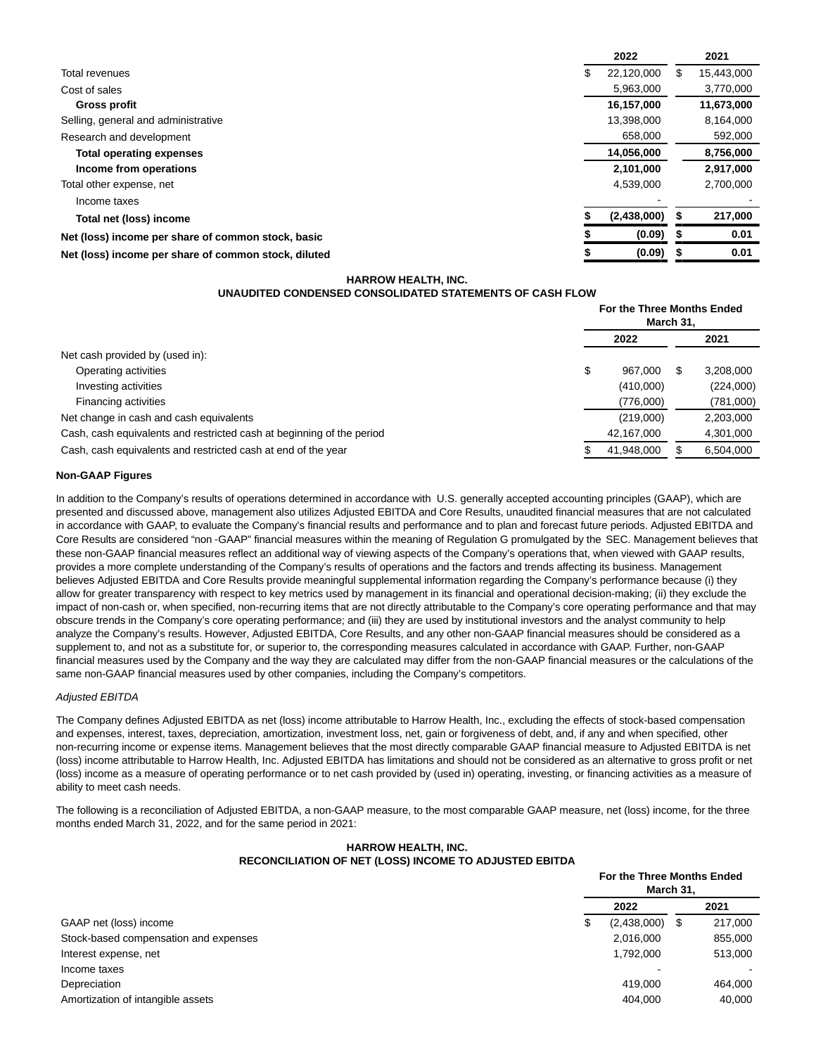|                                                      | 2022             |    | 2021       |
|------------------------------------------------------|------------------|----|------------|
| Total revenues                                       | \$<br>22,120,000 | S. | 15,443,000 |
| Cost of sales                                        | 5,963,000        |    | 3,770,000  |
| <b>Gross profit</b>                                  | 16,157,000       |    | 11,673,000 |
| Selling, general and administrative                  | 13,398,000       |    | 8,164,000  |
| Research and development                             | 658,000          |    | 592,000    |
| <b>Total operating expenses</b>                      | 14,056,000       |    | 8,756,000  |
| Income from operations                               | 2,101,000        |    | 2,917,000  |
| Total other expense, net                             | 4,539,000        |    | 2,700,000  |
| Income taxes                                         |                  |    |            |
| Total net (loss) income                              | (2,438,000)      | \$ | 217,000    |
| Net (loss) income per share of common stock, basic   | (0.09)           | \$ | 0.01       |
| Net (loss) income per share of common stock, diluted | (0.09)           | ъ  | 0.01       |

## **HARROW HEALTH, INC.**

## **UNAUDITED CONDENSED CONSOLIDATED STATEMENTS OF CASH FLOW**

|                                                                       |  | For the Three Months Ended<br>March 31, |    |           |  |
|-----------------------------------------------------------------------|--|-----------------------------------------|----|-----------|--|
|                                                                       |  | 2022                                    |    | 2021      |  |
| Net cash provided by (used in):                                       |  |                                         |    |           |  |
| \$<br>Operating activities                                            |  | 967.000                                 | \$ | 3,208,000 |  |
| Investing activities                                                  |  | (410,000)                               |    | (224,000) |  |
| <b>Financing activities</b>                                           |  | (776,000)                               |    | (781,000) |  |
| Net change in cash and cash equivalents                               |  | (219,000)                               |    | 2,203,000 |  |
| Cash, cash equivalents and restricted cash at beginning of the period |  | 42,167,000                              |    | 4,301,000 |  |
| Cash, cash equivalents and restricted cash at end of the year         |  | 41.948.000                              |    | 6.504.000 |  |

## **Non-GAAP Figures**

In addition to the Company's results of operations determined in accordance with U.S. generally accepted accounting principles (GAAP), which are presented and discussed above, management also utilizes Adjusted EBITDA and Core Results, unaudited financial measures that are not calculated in accordance with GAAP, to evaluate the Company's financial results and performance and to plan and forecast future periods. Adjusted EBITDA and Core Results are considered "non ‑GAAP" financial measures within the meaning of Regulation G promulgated by the SEC. Management believes that these non-GAAP financial measures reflect an additional way of viewing aspects of the Company's operations that, when viewed with GAAP results, provides a more complete understanding of the Company's results of operations and the factors and trends affecting its business. Management believes Adjusted EBITDA and Core Results provide meaningful supplemental information regarding the Company's performance because (i) they allow for greater transparency with respect to key metrics used by management in its financial and operational decision-making; (ii) they exclude the impact of non-cash or, when specified, non-recurring items that are not directly attributable to the Company's core operating performance and that may obscure trends in the Company's core operating performance; and (iii) they are used by institutional investors and the analyst community to help analyze the Company's results. However, Adjusted EBITDA, Core Results, and any other non-GAAP financial measures should be considered as a supplement to, and not as a substitute for, or superior to, the corresponding measures calculated in accordance with GAAP. Further, non-GAAP financial measures used by the Company and the way they are calculated may differ from the non-GAAP financial measures or the calculations of the same non-GAAP financial measures used by other companies, including the Company's competitors.

## Adjusted EBITDA

The Company defines Adjusted EBITDA as net (loss) income attributable to Harrow Health, Inc., excluding the effects of stock-based compensation and expenses, interest, taxes, depreciation, amortization, investment loss, net, gain or forgiveness of debt, and, if any and when specified, other non-recurring income or expense items. Management believes that the most directly comparable GAAP financial measure to Adjusted EBITDA is net (loss) income attributable to Harrow Health, Inc. Adjusted EBITDA has limitations and should not be considered as an alternative to gross profit or net (loss) income as a measure of operating performance or to net cash provided by (used in) operating, investing, or financing activities as a measure of ability to meet cash needs.

The following is a reconciliation of Adjusted EBITDA, a non-GAAP measure, to the most comparable GAAP measure, net (loss) income, for the three months ended March 31, 2022, and for the same period in 2021:

## **HARROW HEALTH, INC. RECONCILIATION OF NET (LOSS) INCOME TO ADJUSTED EBITDA**

|                                       | For the Three Months Ended<br>March 31. |   |         |  |
|---------------------------------------|-----------------------------------------|---|---------|--|
|                                       | 2022                                    |   | 2021    |  |
| GAAP net (loss) income                | \$<br>(2,438,000)                       | S | 217,000 |  |
| Stock-based compensation and expenses | 2,016,000                               |   | 855,000 |  |
| Interest expense, net                 | 1.792.000                               |   | 513,000 |  |
| Income taxes                          |                                         |   |         |  |
| Depreciation                          | 419.000                                 |   | 464,000 |  |
| Amortization of intangible assets     | 404,000                                 |   | 40,000  |  |
|                                       |                                         |   |         |  |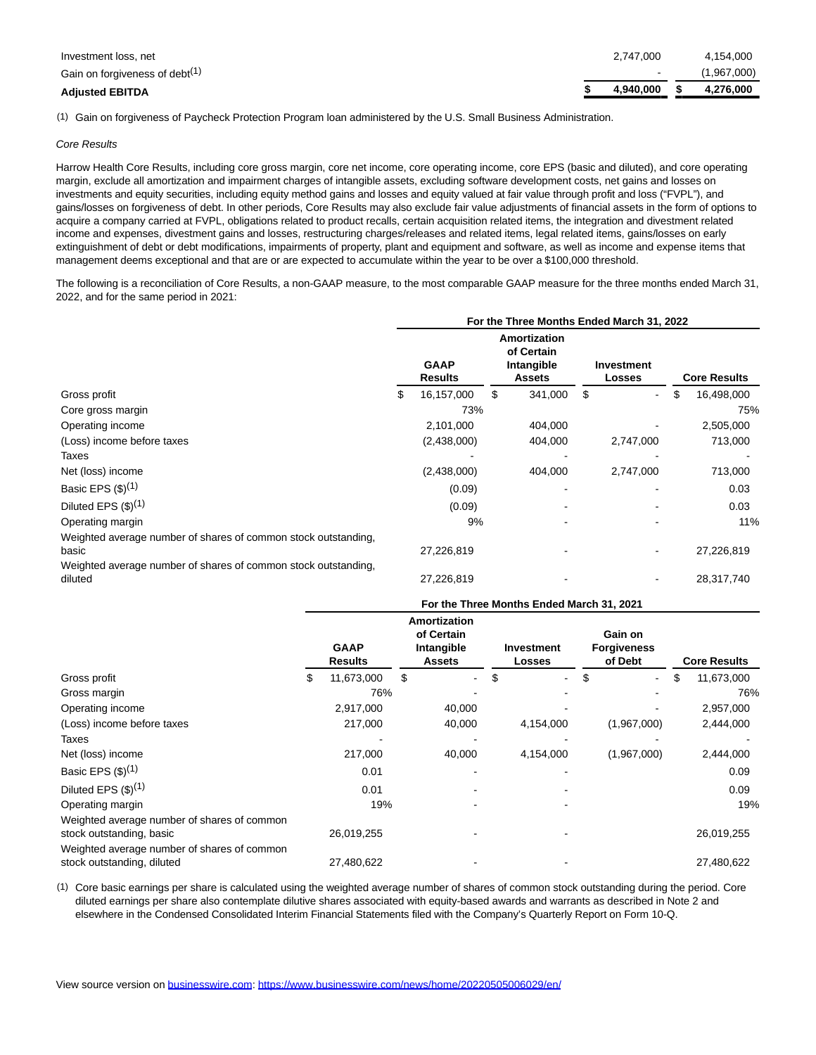| Investment loss, net                       | 2.747.000 | 4.154.000   |
|--------------------------------------------|-----------|-------------|
| Gain on forgiveness of debt <sup>(1)</sup> |           | (1,967,000) |
| <b>Adjusted EBITDA</b>                     | 4.940.000 | 4.276.000   |

(1) Gain on forgiveness of Paycheck Protection Program loan administered by the U.S. Small Business Administration.

#### Core Results

Harrow Health Core Results, including core gross margin, core net income, core operating income, core EPS (basic and diluted), and core operating margin, exclude all amortization and impairment charges of intangible assets, excluding software development costs, net gains and losses on investments and equity securities, including equity method gains and losses and equity valued at fair value through profit and loss ("FVPL"), and gains/losses on forgiveness of debt. In other periods, Core Results may also exclude fair value adjustments of financial assets in the form of options to acquire a company carried at FVPL, obligations related to product recalls, certain acquisition related items, the integration and divestment related income and expenses, divestment gains and losses, restructuring charges/releases and related items, legal related items, gains/losses on early extinguishment of debt or debt modifications, impairments of property, plant and equipment and software, as well as income and expense items that management deems exceptional and that are or are expected to accumulate within the year to be over a \$100,000 threshold.

The following is a reconciliation of Core Results, a non-GAAP measure, to the most comparable GAAP measure for the three months ended March 31, 2022, and for the same period in 2021:

|                                                                                                                                           | For the Three Months Ended March 31, 2022 |                               |    |                                                           |    |                      |     |                     |
|-------------------------------------------------------------------------------------------------------------------------------------------|-------------------------------------------|-------------------------------|----|-----------------------------------------------------------|----|----------------------|-----|---------------------|
|                                                                                                                                           |                                           | <b>GAAP</b><br><b>Results</b> |    | Amortization<br>of Certain<br>Intangible<br><b>Assets</b> |    | Investment<br>Losses |     | <b>Core Results</b> |
| Gross profit                                                                                                                              | \$                                        | 16,157,000                    | \$ | 341,000                                                   | \$ |                      | \$. | 16,498,000          |
| Core gross margin                                                                                                                         |                                           | 73%                           |    |                                                           |    |                      |     | 75%                 |
| Operating income                                                                                                                          |                                           | 2,101,000                     |    | 404,000                                                   |    |                      |     | 2,505,000           |
| (Loss) income before taxes                                                                                                                |                                           | (2,438,000)                   |    | 404,000                                                   |    | 2,747,000            |     | 713,000             |
| Taxes                                                                                                                                     |                                           |                               |    |                                                           |    |                      |     |                     |
| Net (loss) income                                                                                                                         |                                           | (2,438,000)                   |    | 404,000                                                   |    | 2,747,000            |     | 713,000             |
| Basic EPS $(\text{$\$})^{(1)}$                                                                                                            |                                           | (0.09)                        |    |                                                           |    |                      |     | 0.03                |
| Diluted EPS $(\$)^{(1)}$                                                                                                                  |                                           | (0.09)                        |    |                                                           |    |                      |     | 0.03                |
| Operating margin                                                                                                                          |                                           | 9%                            |    |                                                           |    |                      |     | 11%                 |
| Weighted average number of shares of common stock outstanding,<br>basic<br>Weighted average number of shares of common stock outstanding, |                                           | 27,226,819                    |    |                                                           |    |                      |     | 27,226,819          |
| diluted                                                                                                                                   |                                           | 27,226,819                    |    |                                                           |    |                      |     | 28,317,740          |

|                                                                           | For the Three Months Ended March 31, 2021 |                               |    |                                                                  |    |                             |    |                                          |    |                     |
|---------------------------------------------------------------------------|-------------------------------------------|-------------------------------|----|------------------------------------------------------------------|----|-----------------------------|----|------------------------------------------|----|---------------------|
|                                                                           |                                           | <b>GAAP</b><br><b>Results</b> |    | <b>Amortization</b><br>of Certain<br>Intangible<br><b>Assets</b> |    | Investment<br><b>Losses</b> |    | Gain on<br><b>Forgiveness</b><br>of Debt |    | <b>Core Results</b> |
| Gross profit                                                              | \$                                        | 11,673,000                    | \$ | $\blacksquare$                                                   | \$ |                             | \$ |                                          | \$ | 11,673,000          |
| Gross margin                                                              |                                           | 76%                           |    |                                                                  |    |                             |    |                                          |    | 76%                 |
| Operating income                                                          |                                           | 2,917,000                     |    | 40,000                                                           |    |                             |    |                                          |    | 2,957,000           |
| (Loss) income before taxes                                                |                                           | 217,000                       |    | 40,000                                                           |    | 4,154,000                   |    | (1,967,000)                              |    | 2,444,000           |
| Taxes                                                                     |                                           |                               |    |                                                                  |    |                             |    |                                          |    |                     |
| Net (loss) income                                                         |                                           | 217,000                       |    | 40,000                                                           |    | 4,154,000                   |    | (1,967,000)                              |    | 2,444,000           |
| Basic EPS $(\text{$\$})^{(1)}$                                            |                                           | 0.01                          |    |                                                                  |    |                             |    |                                          |    | 0.09                |
| Diluted EPS $(\$)^{(1)}$                                                  |                                           | 0.01                          |    |                                                                  |    |                             |    |                                          |    | 0.09                |
| Operating margin                                                          |                                           | 19%                           |    |                                                                  |    |                             |    |                                          |    | 19%                 |
| Weighted average number of shares of common<br>stock outstanding, basic   |                                           | 26,019,255                    |    |                                                                  |    |                             |    |                                          |    | 26,019,255          |
| Weighted average number of shares of common<br>stock outstanding, diluted |                                           | 27,480,622                    |    |                                                                  |    |                             |    |                                          |    | 27,480,622          |

(1) Core basic earnings per share is calculated using the weighted average number of shares of common stock outstanding during the period. Core diluted earnings per share also contemplate dilutive shares associated with equity-based awards and warrants as described in Note 2 and elsewhere in the Condensed Consolidated Interim Financial Statements filed with the Company's Quarterly Report on Form 10-Q.